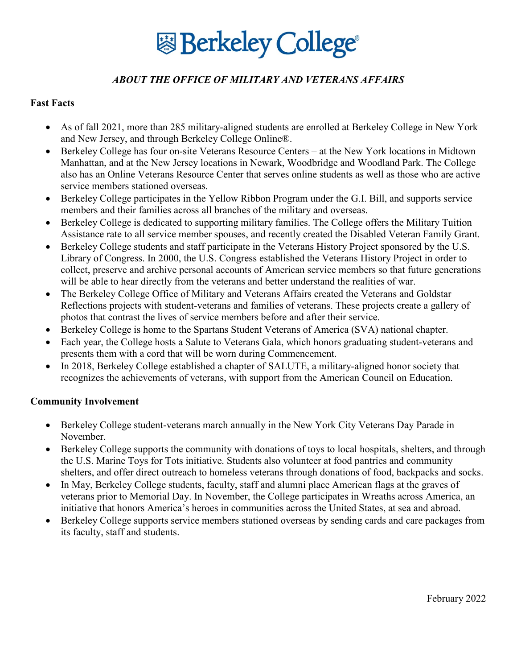# **图 Berkeley College**

# *ABOUT THE OFFICE OF MILITARY AND VETERANS AFFAIRS*

## **Fast Facts**

- As of fall 2021, more than 285 military-aligned students are enrolled at Berkeley College in New York and New Jersey, and through Berkeley College Online®.
- Berkeley College has four on-site Veterans Resource Centers at the New York locations in Midtown Manhattan, and at the New Jersey locations in Newark, Woodbridge and Woodland Park. The College also has an Online Veterans Resource Center that serves online students as well as those who are active service members stationed overseas.
- Berkeley College participates in the Yellow Ribbon Program under the G.I. Bill, and supports service members and their families across all branches of the military and overseas.
- Berkeley College is dedicated to supporting military families. The College offers the Military Tuition Assistance rate to all service member spouses, and recently created the Disabled Veteran Family Grant.
- Berkeley College students and staff participate in the Veterans History Project sponsored by the U.S. Library of Congress. In 2000, the U.S. Congress established the Veterans History Project in order to collect, preserve and archive personal accounts of American service members so that future generations will be able to hear directly from the veterans and better understand the realities of war.
- The Berkeley College Office of Military and Veterans Affairs created the Veterans and Goldstar Reflections projects with student-veterans and families of veterans. These projects create a gallery of photos that contrast the lives of service members before and after their service.
- Berkeley College is home to the Spartans Student Veterans of America (SVA) national chapter.
- Each year, the College hosts a Salute to Veterans Gala, which honors graduating student-veterans and presents them with a cord that will be worn during Commencement.
- In 2018, Berkeley College established a chapter of SALUTE, a military-aligned honor society that recognizes the achievements of veterans, with support from the American Council on Education.

#### **Community Involvement**

- Berkeley College student-veterans march annually in the New York City Veterans Day Parade in November.
- Berkeley College supports the community with donations of toys to local hospitals, shelters, and through the U.S. Marine Toys for Tots initiative. Students also volunteer at food pantries and community shelters, and offer direct outreach to homeless veterans through donations of food, backpacks and socks.
- In May, Berkeley College students, faculty, staff and alumni place American flags at the graves of veterans prior to Memorial Day. In November, the College participates in Wreaths across America, an initiative that honors America's heroes in communities across the United States, at sea and abroad.
- Berkeley College supports service members stationed overseas by sending cards and care packages from its faculty, staff and students.